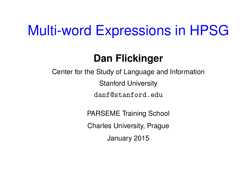# Multi-word Expressions in HPSG

## **Dan Flickinger**

Center for the Study of Language and Information Stanford University danf@stanford.edu

PARSEME Training School

Charles University, Prague

January 2015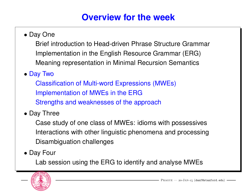#### **Overview for the week**

• Day One

Brief introduction to Head-driven Phrase Structure Grammar Implementation in the English Resource Grammar (ERG) Meaning representation in Minimal Recursion Semantics

• Day Two

Classification of Multi-word Expressions (MWEs) Implementation of MWEs in the ERG Strengths and weaknesses of the approach

• Day Three

Case study of one class of MWEs: idioms with possessives Interactions with other linguistic phenomena and processing Disambiguation challenges

• Day Four

Lab session using the ERG to identify and analyse MWEs

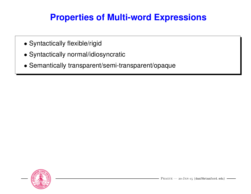#### **Properties of Multi-word Expressions**

- Syntactically flexible/rigid
- Syntactically normal/idiosyncratic
- Semantically transparent/semi-transparent/opaque

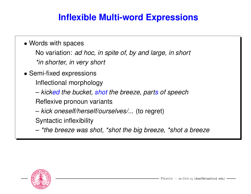#### **Inflexible Multi-word Expressions**

#### • Words with spaces

No variation: *ad hoc, in spite of, by and large, in short \*in shorter, in very short*

- Semi-fixed expressions
	- Inflectional morphology
	- *kicked the bucket, shot the breeze, parts of speech*

Reflexive pronoun variants

– *kick oneself/herself/ourselves/...* (to regret)

Syntactic inflexibility

– *\*the breeze was shot, \*shot the big breeze, \*shot a breeze*

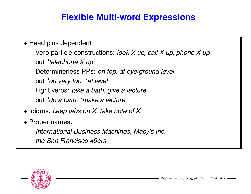#### **Flexible Multi-word Expressions**

- Head plus dependent Verb-particle constructions: *look X up, call X up, phone X up* but *\*telephone X up* Determinerless PPs: *on top, at eye/ground level* but *\*on very top, \*at level* Light verbs: *take a bath, give a lecture* but *\*do a bath, \*make a lecture*
- Idioms: *keep tabs on X, take note of X*
- Proper names:

*International Business Machines, Macy's Inc. the San Francisco 49ers*

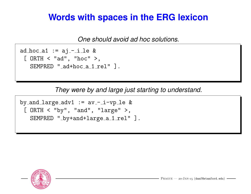#### **Words with spaces in the ERG lexicon**

*One should avoid ad hoc solutions.*

ad hoc  $a1 := aj - i$  le & [ ORTH < "ad", "hoc" >, SEMPRED "\_ad+hoc\_a\_1\_rel" ].

*They were by and large just starting to understand.*

by and large  $adv1 := av$ -i-vp le & [ ORTH < "by", "and", "large" >, SEMPRED "\_by+and+large\_a\_1\_rel" ].

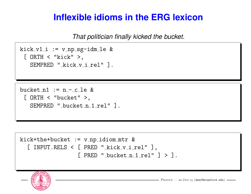#### **Inflexible idioms in the ERG lexicon**

*That politician finally kicked the bucket.*

```
kick v1_i := v_n p_s g - idm_l e &
[ ORTH < "kick" >,
  SEMPRED " kick v i rel" ].
```
bucket  $n1 := n - c$  le &  $[$  ORTH  $<$  "bucket"  $>$ , SEMPRED "\_bucket\_n\_1\_rel" ].

```
kick+the+bucket := v_nnp_idiom_mtr &
 [ INPUT.RELS < [ PRED "_kick_v_i_rel" ],
                   [ PRED "_{\text{bucket\_n\_1\_rel}}" ] > ].
```
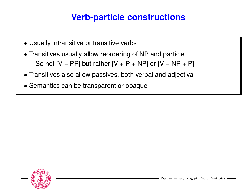#### **Verb-particle constructions**

- Usually intransitive or transitive verbs
- Transitives usually allow reordering of NP and particle So not  $[V + PP]$  but rather  $[V + P + NP]$  or  $[V + NP + P]$
- Transitives also allow passives, both verbal and adjectival
- Semantics can be transparent or opaque

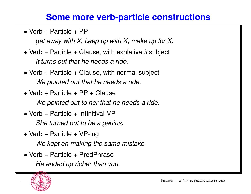#### **Some more verb-particle constructions**

• Verb + Particle +  $PP$ 

*get away with X, keep up with X, make up for X.*

- Verb + Particle + Clause, with expletive *it* subject *It turns out that he needs a ride.*
- Verb  $+$  Particle  $+$  Clause, with normal subject *We pointed out that he needs a ride.*
- Verb + Particle +  $PP$  + Clause *We pointed out to her that he needs a ride.*
- Verb  $+$  Particle  $+$  Infinitival-VP *She turned out to be a genius.*
- Verb + Particle +  $VP$ -ing *We kept on making the same mistake.*
- Verb + Particle + PredPhrase *He ended up richer than you.*

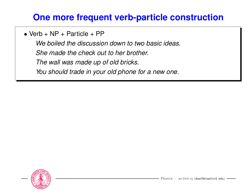#### **One more frequent verb-particle construction**

• Verb +  $NP$  + Particle + PP

*We boiled the discussion down to two basic ideas. She made the check out to her brother. The wall was made up of old bricks. You should trade in your old phone for a new one.*

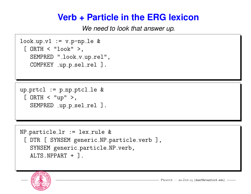#### **Verb + Particle in the ERG lexicon**

*We need to look that answer up.*

```
look_up_v1 := v_p-np_le &[ ORTH < "look" >,
  SEMPRED "_look_v_up_rel",
  COMPKEY _up_p_sel_rel ].
```
up  $prtcl := p_np_ptcl_l$ e &  $[$  ORTH  $<$  "up"  $>$ , SEMPRED \_up\_p\_sel\_rel ].

```
NP-particle_1r := lex-rule &
[ DTR [ SYNSEM generic_NP_particle_verb ],
  SYNSEM generic_particle_NP_verb,
  ALTS.NPPART + ].
```
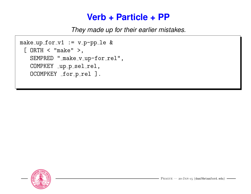#### **Verb + Particle + PP**

*They made up for their earlier mistakes.*

```
make-up_for_v1 := v_p-pp_le &[ ORTH < "make" >,
  SEMPRED "_make_v_up-for_rel",
  COMPKEY _up_p_sel_rel,
  OCOMPKEY _for_p_rel ].
```
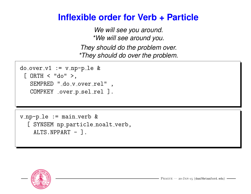#### **Inflexible order for Verb + Particle**

*We will see you around. \*We will see around you. They should do the problem over. \*They should do over the problem.*

```
do_{over_v1} := v_{np-p_{1e}} \&[ ORTH < "do" >,
  SEMPRED "_do_v_over_rel",
  COMPKEY _over_p_sel_rel ].
```
 $v$ \_np-p\_le := main\_verb & [ SYNSEM np\_particle\_noalt\_verb, ALTS.NPPART - ].

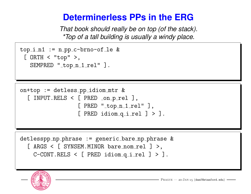#### **Determinerless PPs in the ERG**

*That book should really be on top (of the stack). \*Top of a tall building is usually a windy place.*

```
top_i_n1 := n_pc-brno-of_le &[ ORTH < "top" >,
  SEMPRED "_top_n_1_rel" ].
```

```
on+top := detless pp idiom mtr &
 [ INPUT.RELS < [ PRED _{\text{on-p-rel}} ],
                    [ PRED "_top_n_1_rel" ],[ PRED idiom q<sub>-i-</sub>rel ] > ].
```

```
detlesspp np phrase := generic bare np phrase &
 [ ARGS < [ SYNSEM. MINOR bare nom rel ] >,
   C-CONT. RELS < [PRED idiom_q_i_{rel}] > ].
```
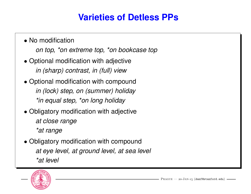### **Varieties of Detless PPs**

- No modification *on top, \*on extreme top, \*on bookcase top*
- Optional modification with adjective *in (sharp) contrast, in (full) view*
- Optional modification with compound *in (lock) step, on (summer) holiday \*in equal step, \*on long holiday*
- Obligatory modification with adjective *at close range \*at range*
- Obligatory modification with compound *at eye level, at ground level, at sea level \*at level*

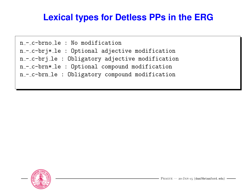#### **Lexical types for Detless PPs in the ERG**

n - c-brno le : No modification n - c-brj\* le : Optional adjective modification n--c-brj le : Obligatory adjective modification n - c-brn\* le : Optional compound modification n--c-brn le : Obligatory compound modification

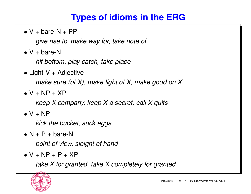#### **Types of idioms in the ERG**

 $\bullet$  V + bare-N + PP

*give rise to, make way for, take note of*

 $\bullet$  V + bare-N

*hit bottom, play catch, take place*

- Light-V  $+$  Adjective *make sure (of X), make light of X, make good on X*
- $\bullet$  V + NP + XP

*keep X company, keep X a secret, call X quits*

 $\bullet$  V + NP

*kick the bucket, suck eggs*

 $\bullet$  N + P + bare-N

*point of view, sleight of hand*

 $\bullet$  V + NP + P + XP

*take X for granted, take X completely for granted*

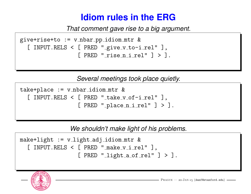#### **Idiom rules in the ERG**

*That comment gave rise to a big argument.*

```
give+rise+to := v_{\text{mbar}}pp_idiom_mtr &
 [ INPUT.RELS < [ PRED "give_v_to-i_re1" ],
                  [ PRED "risen_i_{rel}" ] > ].
```
*Several meetings took place quietly.*

```
take + place := v_{\text{mbar\_idiom\_mtr}} &
  [ INPUT.RELS < [ PRED "\text{take\_v\_of-i\_rel}" ],[ PRED "_{\text{place\_n\_i\_rel}}" ] > ].
```
*We shouldn't make light of his problems.*

```
make+light := v<sub>-</sub>light<sub>-</sub>adj<sub>-</sub>idiom_mtr &
  [ INPUT.RELS < [ PRED " make_v_i_rel" ],
                      [ PRED "linghtaofrel" ] > ].
```
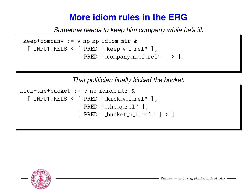#### **More idiom rules in the ERG**

*Someone needs to keep him company while he's ill.*

```
keep+company := v_n p_xidiom mtr &
[ INPUT.RELS < [ PRED " keep v_i rel" ],
                [ PRED "_company_n_of_rel" ] > ].
```
*That politician finally kicked the bucket.*

```
kick+the+bucket := v(np_idiom_mtr &[ INPUT.RELS < [ PRED "_kick_v_i_rel" ],
                 [ PRED "_the_q_rel" ],[ PRED "_bucket_n_1_rel" ] > ].
```
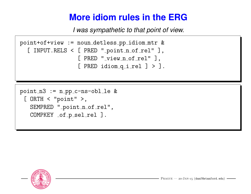### **More idiom rules in the ERG**

*I was sympathetic to that point of view.*

```
point+of+view := noun detless pp idiom mtr &
 [ INPUT.RELS < [ PRED "_point_n_of_rel" ],
                 [ PRED "_view_n_of_rel" ],[ PRED idiomq_ii rel ] > ].
```

```
point_n3 := n(pp_c-ns-b1_l[ ORTH < "point" >,
  SEMPRED "_point_n_of_rel",
  COMPKEY _of_p_sel_rel ].
```
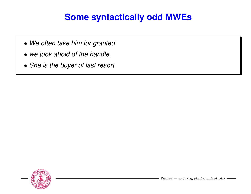#### **Some syntactically odd MWEs**

- *We often take him for granted.*
- *we took ahold of the handle.*
- *She is the buyer of last resort.*

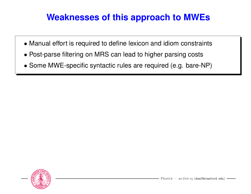#### **Weaknesses of this approach to MWEs**

- Manual effort is required to define lexicon and idiom constraints
- Post-parse filtering on MRS can lead to higher parsing costs
- Some MWE-specific syntactic rules are required (e.g. bare-NP)